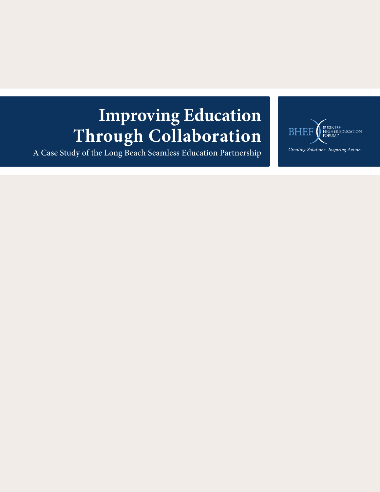# **Improving Education Through Collaboration**

A Case Study of the Long Beach Seamless Education Partnership

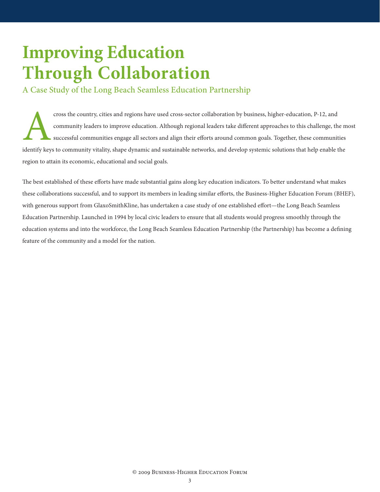## **Improving Education Through Collaboration**

A Case Study of the Long Beach Seamless Education Partnership

cross the country, cities and regions have used cross-sector collaboration by business, higher-education, P-12, and<br>community leaders to improve education. Although regional leaders take different approaches to this challe community leaders to improve education. Although regional leaders take different approaches to this challenge, the most successful communities engage all sectors and align their efforts around common goals. Together, these communities identify keys to community vitality, shape dynamic and sustainable networks, and develop systemic solutions that help enable the region to attain its economic, educational and social goals.

The best established of these efforts have made substantial gains along key education indicators. To better understand what makes these collaborations successful, and to support its members in leading similar efforts, the Business-Higher Education Forum (BHEF), with generous support from GlaxoSmithKline, has undertaken a case study of one established effort—the Long Beach Seamless Education Partnership. Launched in 1994 by local civic leaders to ensure that all students would progress smoothly through the education systems and into the workforce, the Long Beach Seamless Education Partnership (the Partnership) has become a defining feature of the community and a model for the nation.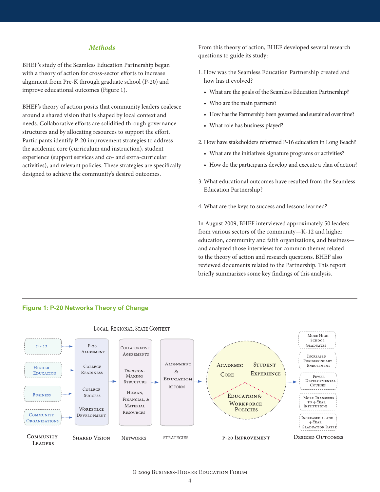#### *Methods*

BHEF's study of the Seamless Education Partnership began with a theory of action for cross-sector efforts to increase alignment from Pre-K through graduate school (P-20) and improve educational outcomes (Figure 1).

BHEF's theory of action posits that community leaders coalesce around a shared vision that is shaped by local context and needs. Collaborative efforts are solidified through governance structures and by allocating resources to support the effort. Participants identify P-20 improvement strategies to address the academic core (curriculum and instruction), student experience (support services and co- and extra-curricular activities), and relevant policies. These strategies are specifically designed to achieve the community's desired outcomes.

From this theory of action, BHEF developed several research questions to guide its study:

- 1. How was the Seamless Education Partnership created and how has it evolved?
	- What are the goals of the Seamless Education Partnership?
	- Who are the main partners?
	- How has the Partnership been governed and sustained over time?
	- What role has business played?
- 2. How have stakeholders reformed P-16 education in Long Beach?
	- • What are the initiative's signature programs or activities?
	- How do the participants develop and execute a plan of action?
- 3. What educational outcomes have resulted from the Seamless Education Partnership?
- 4. What are the keys to success and lessons learned?

In August 2009, BHEF interviewed approximately 50 leaders from various sectors of the community—K-12 and higher education, community and faith organizations, and business and analyzed those interviews for common themes related to the theory of action and research questions. BHEF also reviewed documents related to the Partnership. This report briefly summarizes some key findings of this analysis.

#### **Figure 1: P-20 Networks Theory of Change**

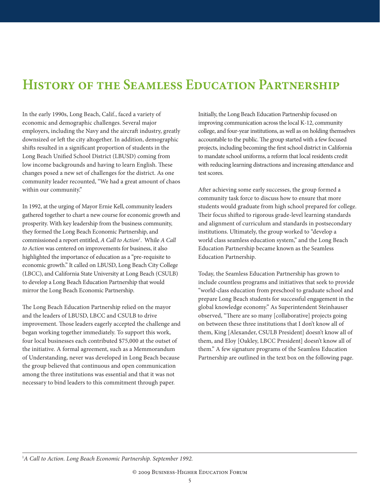### **History of the Seamless Education Partnership**

In the early 1990s, Long Beach, Calif., faced a variety of economic and demographic challenges. Several major employers, including the Navy and the aircraft industry, greatly downsized or left the city altogether. In addition, demographic shifts resulted in a significant proportion of students in the Long Beach Unified School District (LBUSD) coming from low income backgrounds and having to learn English. These changes posed a new set of challenges for the district. As one community leader recounted, "We had a great amount of chaos within our community."

In 1992, at the urging of Mayor Ernie Kell, community leaders gathered together to chart a new course for economic growth and prosperity. With key leadership from the business community, they formed the Long Beach Economic Partnership, and commissioned a report entitled, *A Call to Action1* . While *A Call to Action* was centered on improvements for business, it also highlighted the importance of education as a "pre-requisite to economic growth." It called on LBUSD, Long Beach City College (LBCC), and California State University at Long Beach (CSULB) to develop a Long Beach Education Partnership that would mirror the Long Beach Economic Partnership.

The Long Beach Education Partnership relied on the mayor and the leaders of LBUSD, LBCC and CSULB to drive improvement. Those leaders eagerly accepted the challenge and began working together immediately. To support this work, four local businesses each contributed \$75,000 at the outset of the initiative. A formal agreement, such as a Memmorandum of Understanding, never was developed in Long Beach because the group believed that continuous and open communication among the three institutions was essential and that it was not necessary to bind leaders to this commitment through paper.

Initially, the Long Beach Education Partnership focused on improving communication across the local K-12, community college, and four-year institutions, as well as on holding themselves accountable to the public. The group started with a few focused projects, including becoming the first school district in California to mandate school uniforms, a reform that local residents credit with reducing learning distractions and increasing attendance and test scores.

After achieving some early successes, the group formed a community task force to discuss how to ensure that more students would graduate from high school prepared for college. Their focus shifted to rigorous grade-level learning standards and alignment of curriculum and standards in postsecondary institutions. Ultimately, the group worked to "develop a world class seamless education system," and the Long Beach Education Partnership became known as the Seamless Education Partnership.

Today, the Seamless Education Partnership has grown to include countless programs and initiatives that seek to provide "world-class education from preschool to graduate school and prepare Long Beach students for successful engagement in the global knowledge economy." As Superintendent Steinhauser observed, "There are so many [collaborative] projects going on between these three institutions that I don't know all of them, King [Alexander, CSULB President] doesn't know all of them, and Eloy [Oakley, LBCC President] doesn't know all of them." A few signature programs of the Seamless Education Partnership are outlined in the text box on the following page.

1 *A Call to Action. Long Beach Economic Partnership. September 1992.*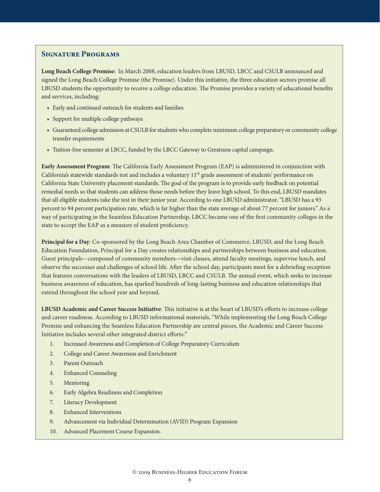#### **Signature Programs**

**Long Beach College Promise:** In March 2008, education leaders from LBUSD, LBCC and CSULB announced and signed the Long Beach College Promise (the Promise). Under this initiative, the three education sectors promise all LBUSD students the opportunity to receive a college education. The Promise provides a variety of educational benefits and services, including:

- Early and continued outreach for students and families
- Support for multiple college pathways
- • Guaranteed college admission at CSULB for students who complete minimum college preparatory or community college transfer requirements
- • Tuition-free semester at LBCC, funded by the LBCC Gateway to Greatness capital campaign.

**Early Assessment Program**: The California Early Assessment Program (EAP) is administered in conjunction with California's statewide standards test and includes a voluntary 11<sup>th</sup> grade assessment of students' performance on California State University placement standards. The goal of the program is to provide early feedback on potential remedial needs so that students can address those needs before they leave high school. To this end, LBUSD mandates that all eligible students take the test in their junior year. According to one LBUSD administrator, "LBUSD has a 93 percent to 94 percent participation rate, which is far higher than the state average of about 77 percent for juniors." As a way of participating in the Seamless Education Partnership, LBCC became one of the first community colleges in the state to accept the EAP as a measure of student proficiency.

**Principal for a Day**: Co-sponsored by the Long Beach Area Chamber of Commerce, LBUSD, and the Long Beach Education Foundation, Principal for a Day creates relationships and partnerships between business and education. Guest principals—composed of community members—visit classes, attend faculty meetings, supervise lunch, and observe the successes and challenges of school life. After the school day, participants meet for a debriefing reception that features conversations with the leaders of LBUSD, LBCC and CSULB. The annual event, which seeks to increase business awareness of education, has sparked hundreds of long-lasting business and education relationships that extend throughout the school year and beyond.

**LBUSD Academic and Career Success Initiative**: This initiative is at the heart of LBUSD's efforts to increase college and career readiness. According to LBUSD informational materials, "While implementing the Long Beach College Promise and enhancing the Seamless Education Partnership are central pieces, the Academic and Career Success Initiative includes several other integrated district efforts:"

- 1. Increased Awareness and Completion of College Preparatory Curriculum
- 2. College and Career Awareness and Enrichment
- 3. Parent Outreach
- 4. Enhanced Counseling
- 5. Mentoring
- 6. Early Algebra Readiness and Completion
- 7. Literacy Development
- 8. Enhanced Interventions
- 9. Advancement via Individual Determination (AVID) Program Expansion
- 10. Advanced Placement Course Expansion.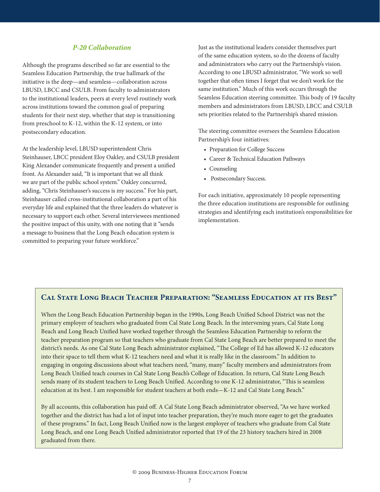#### *P-20 Collaboration*

Although the programs described so far are essential to the Seamless Education Partnership, the true hallmark of the initiative is the deep—and seamless—collaboration across LBUSD, LBCC and CSULB. From faculty to administrators to the institutional leaders, peers at every level routinely work across institutions toward the common goal of preparing students for their next step, whether that step is transitioning from preschool to K-12, within the K-12 system, or into postsecondary education.

At the leadership level, LBUSD superintendent Chris Steinhauser, LBCC president Eloy Oakley, and CSULB president King Alexander communicate frequently and present a unified front. As Alexander said, "It is important that we all think we are part of the public school system." Oakley concurred, adding, "Chris Steinhauser's success is my success." For his part, Steinhauser called cross-institutional collaboration a part of his everyday life and explained that the three leaders do whatever is necessary to support each other. Several interviewees mentioned the positive impact of this unity, with one noting that it "sends a message to business that the Long Beach education system is committed to preparing your future workforce."

Just as the institutional leaders consider themselves part of the same education system, so do the dozens of faculty and administrators who carry out the Partnership's vision. According to one LBUSD administrator, "We work so well together that often times I forget that we don't work for the same institution." Much of this work occurs through the Seamless Education steering committee. This body of 19 faculty members and administrators from LBUSD, LBCC and CSULB sets priorities related to the Partnership's shared mission.

The steering committee oversees the Seamless Education Partnership's four initiatives:

- Preparation for College Success
- • Career & Technical Education Pathways
- Counseling
- Postsecondary Success.

For each initiative, approximately 10 people representing the three education institutions are responsible for outlining strategies and identifying each institution's responsibilities for implementation.

#### **Cal State Long Beach Teacher Preparation: "Seamless Education at its Best"**

When the Long Beach Education Partnership began in the 1990s, Long Beach Unified School District was not the primary employer of teachers who graduated from Cal State Long Beach. In the intervening years, Cal State Long Beach and Long Beach Unified have worked together through the Seamless Education Partnership to reform the teacher preparation program so that teachers who graduate from Cal State Long Beach are better prepared to meet the district's needs. As one Cal State Long Beach administrator explained, "The College of Ed has allowed K-12 educators into their space to tell them what K-12 teachers need and what it is really like in the classroom." In addition to engaging in ongoing discussions about what teachers need, "many, many" faculty members and administrators from Long Beach Unified teach courses in Cal State Long Beach's College of Education. In return, Cal State Long Beach sends many of its student teachers to Long Beach Unified. According to one K-12 administrator, "This is seamless education at its best. I am responsible for student teachers at both ends—K-12 and Cal State Long Beach."

By all accounts, this collaboration has paid off. A Cal State Long Beach administrator observed, "As we have worked together and the district has had a lot of input into teacher preparation, they're much more eager to get the graduates of these programs." In fact, Long Beach Unified now is the largest employer of teachers who graduate from Cal State Long Beach, and one Long Beach Unified administrator reported that 19 of the 23 history teachers hired in 2008 graduated from there.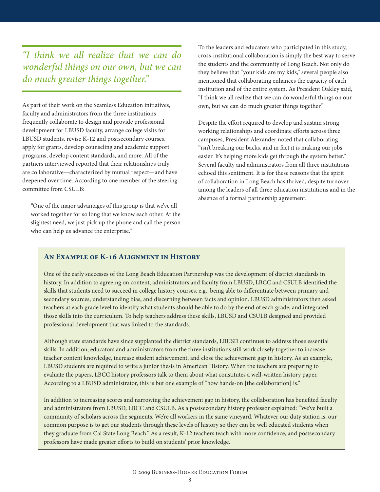*"I think we all realize that we can do wonderful things on our own, but we can do much greater things together."* 

As part of their work on the Seamless Education initiatives, faculty and administrators from the three institutions frequently collaborate to design and provide professional development for LBUSD faculty, arrange college visits for LBUSD students, revise K-12 and postsecondary courses, apply for grants, develop counseling and academic support programs, develop content standards, and more. All of the partners interviewed reported that their relationships truly are collaborative—characterized by mutual respect—and have deepened over time. According to one member of the steering committee from CSULB:

"One of the major advantages of this group is that we've all worked together for so long that we know each other. At the slightest need, we just pick up the phone and call the person who can help us advance the enterprise."

To the leaders and educators who participated in this study, cross-institutional collaboration is simply the best way to serve the students and the community of Long Beach. Not only do they believe that "your kids are my kids," several people also mentioned that collaborating enhances the capacity of each institution and of the entire system. As President Oakley said, "I think we all realize that we can do wonderful things on our own, but we can do much greater things together."

Despite the effort required to develop and sustain strong working relationships and coordinate efforts across three campuses, President Alexander noted that collaborating "isn't breaking our backs, and in fact it is making our jobs easier. It's helping more kids get through the system better." Several faculty and administrators from all three institutions echoed this sentiment. It is for these reasons that the spirit of collaboration in Long Beach has thrived, despite turnover among the leaders of all three education institutions and in the absence of a formal partnership agreement.

#### **An Example of K-16 Alignment in History**

One of the early successes of the Long Beach Education Partnership was the development of district standards in history. In addition to agreeing on content, administrators and faculty from LBUSD, LBCC and CSULB identified the skills that students need to succeed in college history courses, e.g., being able to differentiate between primary and secondary sources, understanding bias, and discerning between facts and opinion. LBUSD administrators then asked teachers at each grade level to identify what students should be able to do by the end of each grade, and integrated those skills into the curriculum. To help teachers address these skills, LBUSD and CSULB designed and provided professional development that was linked to the standards.

Although state standards have since supplanted the district standards, LBUSD continues to address those essential skills. In addition, educators and administrators from the three institutions still work closely together to increase teacher content knowledge, increase student achievement, and close the achievement gap in history. As an example, LBUSD students are required to write a junior thesis in American History. When the teachers are preparing to evaluate the papers, LBCC history professors talk to them about what constitutes a well-written history paper. According to a LBUSD administrator, this is but one example of "how hands-on [the collaboration] is."

In addition to increasing scores and narrowing the achievement gap in history, the collaboration has benefited faculty and administrators from LBUSD, LBCC and CSULB. As a postsecondary history professor explained: "We've built a community of scholars across the segments. We're all workers in the same vineyard. Whatever our duty station is, our common purpose is to get our students through these levels of history so they can be well educated students when they graduate from Cal State Long Beach." As a result, K-12 teachers teach with more confidence, and postsecondary professors have made greater efforts to build on students' prior knowledge.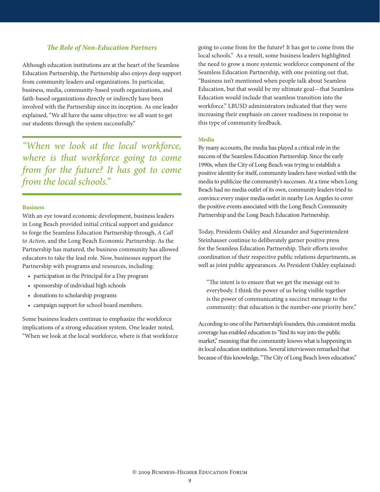#### *The Role of Non-Education Partners*

Although education institutions are at the heart of the Seamless Education Partnership, the Partnership also enjoys deep support from community leaders and organizations. In particular, business, media, community-based youth organizations, and faith-based organizations directly or indirectly have been involved with the Partnership since its inception. As one leader explained, "We all have the same objective: we all want to get our students through the system successfully."

*"When we look at the local workforce, where is that workforce going to come from for the future? It has got to come from the local schools."*

#### **Business**

With an eye toward economic development, business leaders in Long Beach provided initial critical support and guidance to forge the Seamless Education Partnership through, *A Call to Action*, and the Long Beach Economic Partnership. As the Partnership has matured, the business community has allowed educators to take the lead role. Now, businesses support the Partnership with programs and resources, including:

- • participation in the Principal for a Day program
- • sponsorship of individual high schools
- • donations to scholarship programs
- campaign support for school board members.

Some business leaders continue to emphasize the workforce implications of a strong education system. One leader noted, "When we look at the local workforce, where is that workforce

going to come from for the future? It has got to come from the local schools." As a result, some business leaders highlighted the need to grow a more systemic workforce component of the Seamless Education Partnership, with one pointing out that, "Business isn't mentioned when people talk about Seamless Education, but that would be my ultimate goal—that Seamless Education would include that seamless transition into the workforce." LBUSD administrators indicated that they were increasing their emphasis on career readiness in response to this type of community feedback.

#### **Media**

By many accounts, the media has played a critical role in the success of the Seamless Education Partnership. Since the early 1990s, when the City of Long Beach was trying to establish a positive identity for itself, community leaders have worked with the media to publicize the community's successes. At a time when Long Beach had no media outlet of its own, community leaders tried to convince every major media outlet in nearby Los Angeles to cover the positive events associated with the Long Beach Community Partnership and the Long Beach Education Partnership.

Today, Presidents Oakley and Alexander and Superintendent Steinhauser continue to deliberately garner positive press for the Seamless Education Partnership. Their efforts involve coordination of their respective public relations departments, as well as joint public appearances. As President Oakley explained:

"The intent is to ensure that we get the message out to everybody. I think the power of us being visible together is the power of communicating a succinct message to the community: that education is the number-one priority here."

According to one of the Partnership's founders, this consistent media coverage has enabled education to "find its way into the public market," meaning that the community knows what is happening in its local education institutions. Several interviewees remarked that because of this knowledge, "The City of Long Beach loves education."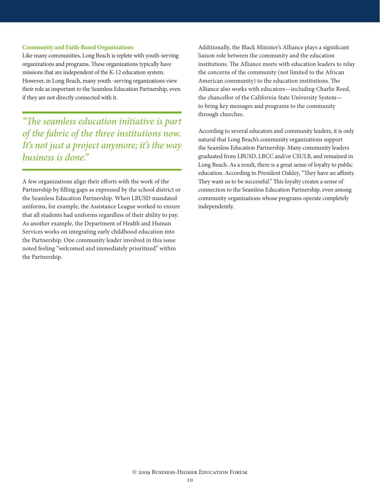#### **Community and Faith-Based Organizations**

Like many communities, Long Beach is replete with youth-serving organizations and programs. These organizations typically have missions that are independent of the K-12 education system. However, in Long Beach, many youth -serving organizations view their role as important to the Seamless Education Partnership, even if they are not directly connected with it.

*"The seamless education initiative is part of the fabric of the three institutions now. It's not just a project anymore; it's the way business is done."*

A few organizations align their efforts with the work of the Partnership by filling gaps as expressed by the school district or the Seamless Education Partnership. When LBUSD mandated uniforms, for example, the Assistance League worked to ensure that all students had uniforms regardless of their ability to pay. As another example, the Department of Health and Human Services works on integrating early childhood education into the Partnership. One community leader involved in this issue noted feeling "welcomed and immediately prioritized" within the Partnership.

Additionally, the Black Minister's Alliance plays a significant liaison role between the community and the education institutions. The Alliance meets with education leaders to relay the concerns of the community (not limited to the African American community) to the education institutions. The Alliance also works with educators—including Charlie Reed, the chancellor of the California State University System to bring key messages and programs to the community through churches.

According to several educators and community leaders, it is only natural that Long Beach's community organizations support the Seamless Education Partnership. Many community leaders graduated from LBUSD, LBCC and/or CSULB, and remained in Long Beach. As a result, there is a great sense of loyalty to public education. According to President Oakley, "They have an affinity. They want us to be successful." This loyalty creates a sense of connection to the Seamless Education Partnership, even among community organizations whose programs operate completely independently.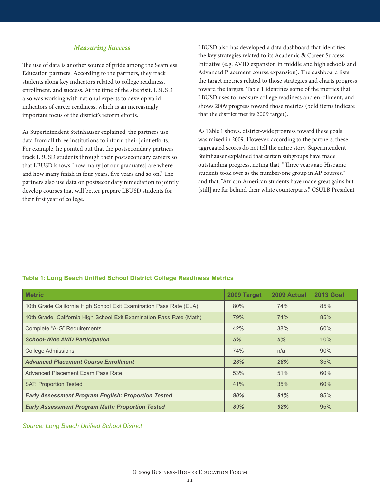#### *Measuring Success*

The use of data is another source of pride among the Seamless Education partners. According to the partners, they track students along key indicators related to college readiness, enrollment, and success. At the time of the site visit, LBUSD also was working with national experts to develop valid indicators of career readiness, which is an increasingly important focus of the district's reform efforts.

As Superintendent Steinhauser explained, the partners use data from all three institutions to inform their joint efforts. For example, he pointed out that the postsecondary partners track LBUSD students through their postsecondary careers so that LBUSD knows "how many [of our graduates] are where and how many finish in four years, five years and so on." The partners also use data on postsecondary remediation to jointly develop courses that will better prepare LBUSD students for their first year of college.

LBUSD also has developed a data dashboard that identifies the key strategies related to its Academic & Career Success Initiative (e.g. AVID expansion in middle and high schools and Advanced Placement course expansion). The dashboard lists the target metrics related to those strategies and charts progress toward the targets. Table 1 identifies some of the metrics that LBUSD uses to measure college readiness and enrollment, and shows 2009 progress toward those metrics (bold items indicate that the district met its 2009 target).

As Table 1 shows, district-wide progress toward these goals was mixed in 2009. However, according to the partners, these aggregated scores do not tell the entire story. Superintendent Steinhauser explained that certain subgroups have made outstanding progress, noting that, "Three years ago Hispanic students took over as the number-one group in AP courses," and that, "African American students have made great gains but [still] are far behind their white counterparts." CSULB President

#### **Table 1: Long Beach Unified School District College Readiness Metrics**

| <b>Metric</b>                                                       | 2009 Target | 2009 Actual | <b>2013 Goal</b> |
|---------------------------------------------------------------------|-------------|-------------|------------------|
| 10th Grade California High School Exit Examination Pass Rate (ELA)  | 80%         | 74%         | 85%              |
| 10th Grade California High School Exit Examination Pass Rate (Math) | 79%         | 74%         | 85%              |
| Complete "A-G" Requirements                                         | 42%         | 38%         | 60%              |
| <b>School-Wide AVID Participation</b>                               | 5%          | 5%          | 10%              |
| <b>College Admissions</b>                                           | 74%         | n/a         | 90%              |
| <b>Advanced Placement Course Enrollment</b>                         | 28%         | 28%         | 35%              |
| Advanced Placement Exam Pass Rate                                   | 53%         | 51%         | 60%              |
| <b>SAT: Proportion Tested</b>                                       | 41%         | 35%         | 60%              |
| <b>Early Assessment Program English: Proportion Tested</b>          | 90%         | 91%         | 95%              |
| <b>Early Assessment Program Math: Proportion Tested</b>             | 89%         | 92%         | 95%              |

*Source: Long Beach Unified School District*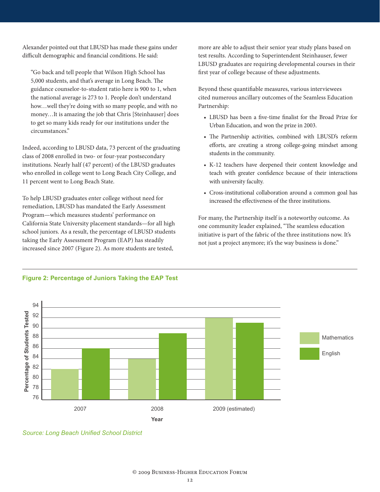Alexander pointed out that LBUSD has made these gains under difficult demographic and financial conditions. He said:

"Go back and tell people that Wilson High School has 5,000 students, and that's average in Long Beach. The guidance counselor-to-student ratio here is 900 to 1, when the national average is 273 to 1. People don't understand how…well they're doing with so many people, and with no money…It is amazing the job that Chris [Steinhauser] does to get so many kids ready for our institutions under the circumstances."

Indeed, according to LBUSD data, 73 percent of the graduating class of 2008 enrolled in two- or four-year postsecondary institutions. Nearly half (47 percent) of the LBUSD graduates who enrolled in college went to Long Beach City College, and 11 percent went to Long Beach State.

To help LBUSD graduates enter college without need for remediation, LBUSD has mandated the Early Assessment Program—which measures students' performance on California State University placement standards—for all high school juniors. As a result, the percentage of LBUSD students taking the Early Assessment Program (EAP) has steadily increased since 2007 (Figure 2). As more students are tested,

more are able to adjust their senior year study plans based on test results. According to Superintendent Steinhauser, fewer LBUSD graduates are requiring developmental courses in their first year of college because of these adjustments.

Beyond these quantifiable measures, various interviewees cited numerous ancillary outcomes of the Seamless Education Partnership:

- • LBUSD has been a five-time finalist for the Broad Prize for Urban Education, and won the prize in 2003.
- • The Partnership activities, combined with LBUSD's reform efforts, are creating a strong college-going mindset among students in the community.
- K-12 teachers have deepened their content knowledge and teach with greater confidence because of their interactions with university faculty.
- Cross-institutional collaboration around a common goal has increased the effectiveness of the three institutions.

For many, the Partnership itself is a noteworthy outcome. As one community leader explained, "The seamless education initiative is part of the fabric of the three institutions now. It's not just a project anymore; it's the way business is done."



#### **Figure 2: Percentage of Juniors Taking the EAP Test**

*Source: Long Beach Unified School District*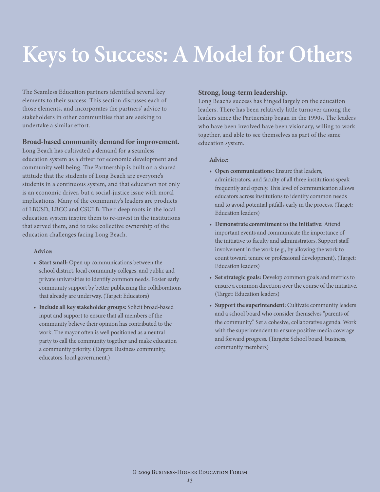# **Keys to Success: A Model for Others**

The Seamless Education partners identified several key elements to their success. This section discusses each of those elements, and incorporates the partners' advice to stakeholders in other communities that are seeking to undertake a similar effort.

#### **Broad-based community demand for improvement.**

Long Beach has cultivated a demand for a seamless education system as a driver for economic development and community well being. The Partnership is built on a shared attitude that the students of Long Beach are everyone's students in a continuous system, and that education not only is an economic driver, but a social-justice issue with moral implications. Many of the community's leaders are products of LBUSD, LBCC and CSULB. Their deep roots in the local education system inspire them to re-invest in the institutions that served them, and to take collective ownership of the education challenges facing Long Beach.

#### **Advice:**

- **• Start small:** Open up communications between the school district, local community colleges, and public and private universities to identify common needs. Foster early community support by better publicizing the collaborations that already are underway. (Target: Educators)
- **• Include all key stakeholder groups:** Solicit broad-based input and support to ensure that all members of the community believe their opinion has contributed to the work. The mayor often is well positioned as a neutral party to call the community together and make education a community priority. (Targets: Business community, educators, local government.)

#### **Strong, long-term leadership.**

Long Beach's success has hinged largely on the education leaders. There has been relatively little turnover among the leaders since the Partnership began in the 1990s. The leaders who have been involved have been visionary, willing to work together, and able to see themselves as part of the same education system.

#### **Advice:**

- **• Open communications:** Ensure that leaders, administrators, and faculty of all three institutions speak frequently and openly. This level of communication allows educators across institutions to identify common needs and to avoid potential pitfalls early in the process. (Target: Education leaders)
- **• Demonstrate commitment to the initiative:** Attend important events and communicate the importance of the initiative to faculty and administrators. Support staff involvement in the work (e.g., by allowing the work to count toward tenure or professional development). (Target: Education leaders)
- **• Set strategic goals:** Develop common goals and metrics to ensure a common direction over the course of the initiative. (Target: Education leaders)
- **• Support the superintendent:** Cultivate community leaders and a school board who consider themselves "parents of the community." Set a cohesive, collaborative agenda. Work with the superintendent to ensure positive media coverage and forward progress. (Targets: School board, business, community members)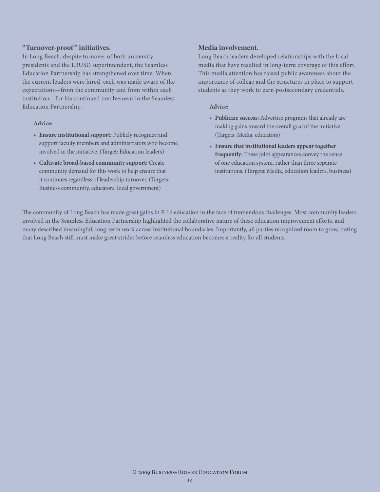#### **"Turnover-proof" initiatives.**

In Long Beach, despite turnover of both university presidents and the LBUSD superintendent, the Seamless Education Partnership has strengthened over time. When the current leaders were hired, each was made aware of the expectations—from the community and from within each institution—for his continued involvement in the Seamless Education Partnership.

#### **Advice:**

- **• Ensure institutional support:** Publicly recognize and support faculty members and administrators who become involved in the initiative. (Target: Education leaders)
- **• Cultivate broad-based community support:** Create community demand for this work to help ensure that it continues regardless of leadership turnover. (Targets: Business community, educators, local government)

#### **Media involvement.**

Long Beach leaders developed relationships with the local media that have resulted in long-term coverage of this effort. This media attention has raised public awareness about the importance of college and the structures in place to support students as they work to earn postsecondary credentials.

#### **Advice:**

- **• Publicize success:** Advertise programs that already are making gains toward the overall goal of the initiative. (Targets: Media, educators)
- **• Ensure that institutional leaders appear together frequently:** These joint appearances convey the sense of one education system, rather than three separate institutions. (Targets: Media, education leaders, business)

The community of Long Beach has made great gains in P-16 education in the face of tremendous challenges. Most community leaders involved in the Seamless Education Partnership highlighted the collaborative nature of these education improvement efforts, and many described meaningful, long-term work across institutional boundaries. Importantly, all parties recognized room to grow, noting that Long Beach still must make great strides before seamless education becomes a reality for all students.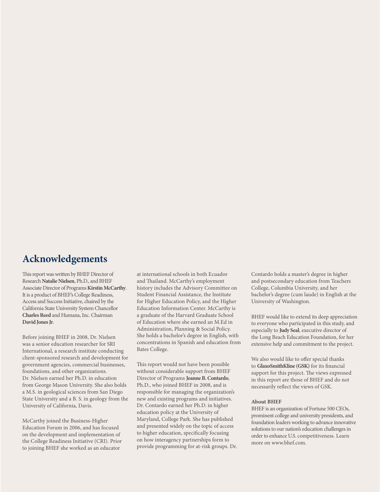#### **Acknowledgements**

This report was written by BHEF Director of Research **Natalie Nielsen**, Ph.D., and BHEF Associate Director of Programs **Kirstin McCarthy**. It is a product of BHEF's College Readiness, Access and Success Initiative, chaired by the California State University System Chancellor **Charles Reed** and Humana, Inc. Chairman **David Jones Jr**.

Before joining BHEF in 2008, Dr. Nielsen was a senior education researcher for SRI International, a research institute conducting client-sponsored research and development for government agencies, commercial businesses, foundations, and other organizations. Dr. Nielsen earned her Ph.D. in education from George Mason University. She also holds a M.S. in geological sciences from San Diego State University and a B. S. in geology from the University of California, Davis.

McCarthy joined the Business-Higher Education Forum in 2006, and has focused on the development and implementation of the College Readiness Initiative (CRI). Prior to joining BHEF she worked as an educator

at international schools in both Ecuador and Thailand. McCarthy's employment history includes the Advisory Committee on Student Financial Assistance, the Institute for Higher Education Policy, and the Higher Education Information Center. McCarthy is a graduate of the Harvard Graduate School of Education where she earned an M.Ed in Administration, Planning & Social Policy. She holds a bachelor's degree in English, with concentrations in Spanish and education from Bates College.

This report would not have been possible without considerable support from BHEF Director of Programs **Jeanne B. Contardo**, Ph.D., who joined BHEF in 2008, and is responsible for managing the organization's new and existing programs and initiatives. Dr. Contardo earned her Ph.D. in higher education policy at the University of Maryland, College Park. She has published and presented widely on the topic of access to higher education, specifically focusing on how interagency partnerships form to provide programming for at-risk groups. Dr.

Contardo holds a master's degree in higher and postsecondary education from Teachers College, Columbia University, and her bachelor's degree (cum laude) in English at the University of Washington.

BHEF would like to extend its deep appreciation to everyone who participated in this study, and especially to **Judy Seal**, executive director of the Long Beach Education Foundation, for her extensive help and commitment to the project.

We also would like to offer special thanks to **GlaxoSmithKline (GSK)** for its financial support for this project. The views expressed in this report are those of BHEF and do not necessarily reflect the views of GSK.

#### **About BHEF**

BHEF is an organization of Fortune 500 CEOs, prominent college and university presidents, and foundation leaders working to advance innovative solutions to our nation's education challenges in order to enhance U.S. competitiveness. Learn more on www.bhef.com.